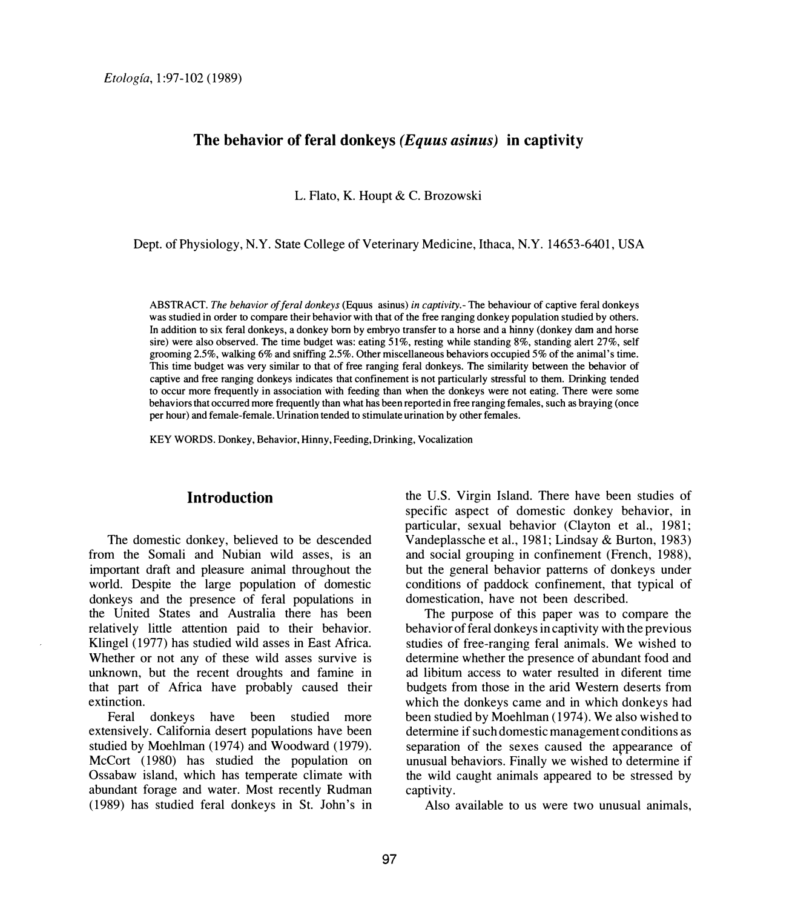# **The behavior of feral donkeys** *(Equus asinus)* **in captivity**

L. Flato, K. Houpt & C. Brozowski

Dept. of Physiology, N.Y. State College of Veterinary Medicine, Ithaca, N.Y. 14653-6401, USA

ABSTRACT. *The behavior of feral donkeys* (Equus asinus) *in captivity.-* The behaviour of captive feral donkeys was studied in order to compare their behavior with that of the free ranging donkey population studied by others. In addition to six feral donkeys, a donkey born by embryo transfer to a horse and a hinny (donkey dam and horse sire) were also observed. The time budget was: eating 51 %, resting while standing 8%, standing alert 27%, self grooming 2.5%, walking 6% and sniffing 2.5%. Other miscellaneous behaviors occupied *5%* of the animal's time. This time budget was very similar to that of free ranging feral donkeys. The similarity between the behavior of captive and free ranging donkeys indicates that confinement is not particularly stressful to them. Drinking tended to occur more frequently in association with feeding than when the donkeys were not eating. There were some behaviors that occurred more frequently than what has been reported in free ranging females, such as braying ( once per hour) and female-female. Urination tended to stimulate urination by other females.

KEY WORDS. Donkey, Behavior, Hinny, Feeding, Drinking, Vocalization

## **Introduction**

The domestic donkey, believed to be descended from the Somali and Nubian wild asses, is an important draft and pleasure animal throughout the world. Despite the large population of domestic donkeys and the presence of feral populations in the United States and Australia there has been relatively little attention paid to their behavior. Klingel (1977) has studied wild asses in East Africa. Whether or not any of these wild asses survive is unknown, but the recent droughts and famine in that part of Africa have probably caused their extinction.

Feral donkeys have been studied more extensively. California desert populations have been studied by Moehlman (1974) and Woodward (1979). McCort (1980) has studied the population on Ossabaw island, which has temperate climate with abundant forage and water. Most recently Rudman (1989) has studied feral donkeys in St. John's in the U.S. Virgin Island. There have been studies of specific aspect of domestic donkey behavior, in particular, sexual behavior (Clayton et al., 1981; Vandeplassche et al., 1981; Lindsay & Burton, 1983) and social grouping in confinement (French, 1988), but the general behavior patterns of donkeys under conditions of paddock confinement, that typical of domestication, have not been described.

The purpose of this paper was to compare the behavior of feral donkeys in captivity with the previous studies of free-ranging feral animals. We wished to determine whether the presence of abundant food and ad libitum access to water resulted in diferent time budgets from those in the arid Western deserts from which the donkeys came and in which donkeys had been studied by Moehlman (1974). We also wished to determine if such domestic management conditions as separation of the sexes caused the appearance of unusual behaviors. Finally we wished to determine if the wild caught animals appeared to be stressed by captivity.

Also available to us were two unusual animals,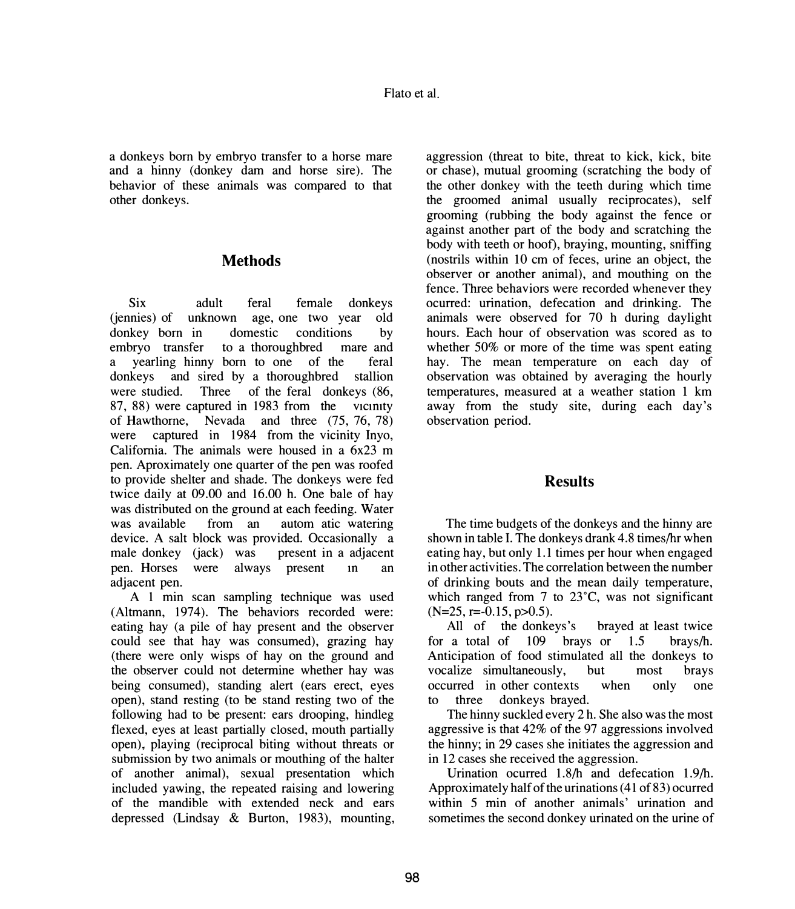a donkeys born by embryo transfer to a horse mare and a hinny (donkey dam and horse sire). The behavior of these animals was compared to that other donkeys.

# **Methods**

Six adult feral female donkeys (jennies) of unknown age, one two year old donkey born in domestic conditions by embryo transfer to a thoroughbred mare and a yearling hinny born to one of the feral donkeys and sired by a thoroughbred stallion were studied. Three of the feral donkeys (86, 87, 88) were captured in 1983 from the vicinity of Hawthorne, Nevada and three (75, 76, 78) were captured in 1984 from the vicinity Inyo, California. The animals were housed in a 6x23 m pen. Aproximately one quarter of the pen was roofed to provide shelter and shade. The donkeys were fed twice daily at 09.00 and 16.00 h. One bale of hay was distributed on the ground at each feeding. Water was available from an autom atic watering device. A salt block was provided. Occasionally a male donkey (jack) was present in a adjacent pen. Horses were always present m an adjacent pen.

A 1 min scan sampling technique was used (Altmann, 1974). The behaviors recorded were: eating hay (a pile of hay present and the observer could see that hay was consumed), grazing hay (there were only wisps of hay on the ground and the observer could not detennine whether hay was being consumed), standing alert (ears erect, eyes open), stand resting (to be stand resting two of the following had to be present: ears drooping, hindleg flexed, eyes at least partially closed, mouth partially open), playing (reciprocal biting without threats or submission by two animals or mouthing of the halter of another animal), sexual presentation which included yawing, the repeated raising and lowering of the mandible with extended neck and ears depressed (Lindsay & Burton, 1983), mounting,

aggression (threat to bite, threat to kick, kick, bite or chase), mutual grooming (scratching the body of the other donkey with the teeth during which time the groomed animal usually reciprocates), self grooming (rubbing the body against the fence or against another part of the body and scratching the body with teeth or hoof), braying, mounting, sniffing (nostrils within 10 cm of feces, urine an object, the observer or another animal), and mouthing on the fence. Three behaviors were recorded whenever they ocurred: urination, defecation and drinking. The animals were observed for 70 h during daylight hours. Each hour of observation was scored as to whether 50% or more of the time was spent eating hay. The mean temperature on each day of observation was obtained by averaging the hourly temperatures, measured at a weather station 1 km away from the study site, during each day's observation period.

# **Results**

The time budgets of the donkeys and the hinny are shown in table I. The donkeys drank 4.8 times/hr when eating hay, but only 1.1 times per hour when engaged in other activities. The correlation between the number of drinking bouts and the mean daily temperature, which ranged from 7 to 23° C, was not significant  $(N=25, r=-0.15, p>0.5)$ .

All of the donkeys's brayed at least twice for a total of 109 brays or 1.5 brays/h. Anticipation of food stimulated all the donkeys to vocalize simultaneously, but most brays occurred in other contexts when only one to three donkeys brayed.

The hinny suckled every 2 h. She also was the most aggressive is that 42% of the 97 aggressions involved the hinny; in 29 cases she initiates the aggression and in 12 cases she received the aggression.

Urination ocurred 1.8/h and defecation 1.9/h. Approximately half of the urinations ( 41 of 83) ocurred within 5 min of another animals' urination and sometimes the second donkey urinated on the urine of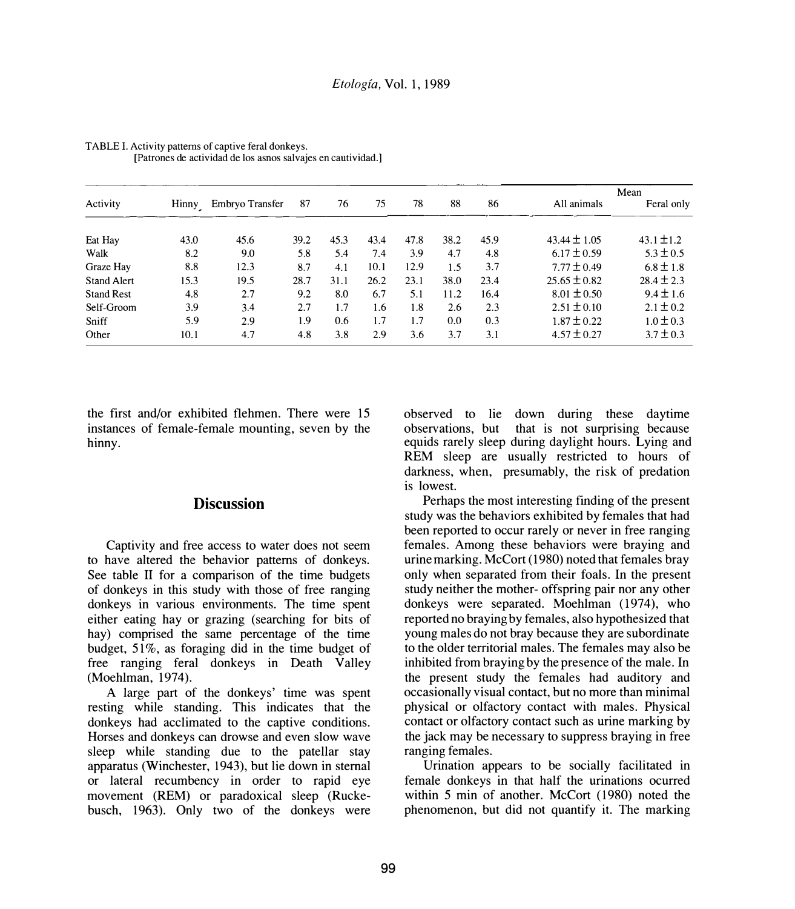| Activity           | Hinny | Embryo Transfer | 87   | 76   | 75   | 78   | 88   | 86   | Mean             |                |  |
|--------------------|-------|-----------------|------|------|------|------|------|------|------------------|----------------|--|
|                    |       |                 |      |      |      |      |      |      | All animals      | Feral only     |  |
| Eat Hay            | 43.0  | 45.6            | 39.2 | 45.3 | 43.4 | 47.8 | 38.2 | 45.9 | $43.44 \pm 1.05$ | $43.1 \pm 1.2$ |  |
| Walk               | 8.2   | 9.0             | 5.8  | 5.4  | 7.4  | 3.9  | 4.7  | 4.8  | 6.17 $\pm$ 0.59  | $5.3 \pm 0.5$  |  |
| Graze Hay          | 8.8   | 12.3            | 8.7  | 4.1  | 10.1 | 12.9 | 1.5  | 3.7  | $7.77 \pm 0.49$  | $6.8 \pm 1.8$  |  |
| <b>Stand Alert</b> | 15.3  | 19.5            | 28.7 | 31.1 | 26.2 | 23.1 | 38.0 | 23.4 | $25.65 \pm 0.82$ | $28.4 \pm 2.3$ |  |
| <b>Stand Rest</b>  | 4.8   | 2.7             | 9.2  | 8.0  | 6.7  | 5.1  | 11.2 | 16.4 | $8.01 \pm 0.50$  | $9.4 \pm 1.6$  |  |
| Self-Groom         | 3.9   | 3.4             | 2.7  | 1.7  | 1.6  | 1.8  | 2.6  | 2.3  | $2.51 \pm 0.10$  | $2.1 \pm 0.2$  |  |
| Sniff              | 5.9   | 2.9             | 1.9  | 0.6  | 1.7  | 1.7  | 0.0  | 0.3  | $1.87 \pm 0.22$  | $1.0 \pm 0.3$  |  |
| Other              | 10.1  | 4.7             | 4.8  | 3.8  | 2.9  | 3.6  | 3.7  | 3.1  | $4.57 \pm 0.27$  | $3.7 \pm 0.3$  |  |

TABLE I. Activity patterns of captive feral donkeys. [Patrones de actividad de los asnos salvajes en cautividad.]

the first and/or exhibited flehmen. There were 15 instances of female-female mounting, seven by the hinny.

## **Discussion**

Captivity and free access to water does not seem to have altered the behavior patterns of donkeys. See table II for a comparison of the time budgets of donkeys in this study with those of free ranging donkeys in various environments. The time spent either eating hay or grazing (searching for bits of hay) comprised the same percentage of the time budget, 51%, as foraging did in the time budget of free ranging feral donkeys in Death Valley (Moehlman, 1974).

A large part of the donkeys' time was spent resting while standing. This indicates that the donkeys had acclimated to the captive conditions. Horses and donkeys can drowse and even slow wave sleep while standing due to the patellar stay apparatus (Winchester, 1943), but lie down in sternal or lateral recumbency in order to rapid eye movement (REM) or paradoxical sleep (Ruckebusch, 1963). Only two of the donkeys were observed to lie down during these daytime observations, but that is not surprising because equids rarely sleep during daylight hours. Lying and REM sleep are usually restricted to hours of darkness, when, presumably, the risk of predation is lowest.

Perhaps the most interesting finding of the present study was the behaviors exhibited by females that had been reported to occur rarely or never in free ranging females. Among these behaviors were braying and urinemarking. McCort (1980) noted that females bray only when separated from their foals. In the present study neither the mother- offspring pair nor any other donkeys were separated. Moehlman (1974), who reported no brayingby females, also hypothesized that young males do not bray because they are subordinate to the older territorial males. The females may also be inhibited from brayingby the presence of the male. In the present study the females had auditory and occasionally visual contact, but no more than minimal physical or olfactory contact with males. Physical contact or olfactory contact such as urine marking by the jack may be necessary to suppress braying in free ranging females.

Urination appears to be socially facilitated in female donkeys in that half the urinations ocurred within 5 min of another. McCort (1980) noted the phenomenon, but did not quantify it. The marking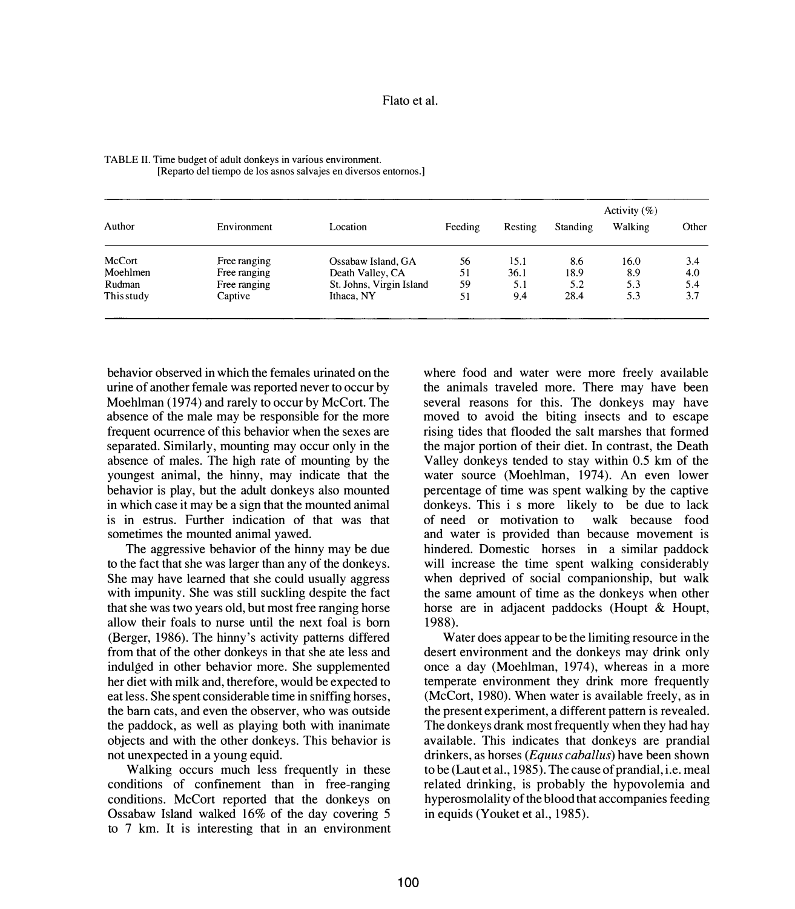| Author     |              |                          |         |         | Activity $(\%)$ |         |       |
|------------|--------------|--------------------------|---------|---------|-----------------|---------|-------|
|            | Environment  | Location                 | Feeding | Resting | Standing        | Walking | Other |
| McCort     | Free ranging | Ossabaw Island, GA       | 56      | 15.1    | 8.6             | 16.0    | 3.4   |
| Moehlmen   | Free ranging | Death Valley, CA         | 51      | 36.1    | 18.9            | 8.9     | 4.0   |
| Rudman     | Free ranging | St. Johns, Virgin Island | 59      | 5.1     | 5.2             | 5.3     | 5.4   |
| This study | Captive      | Ithaca, NY               | 51      | 9.4     | 28.4            | 5.3     | 3.7   |

TABLE II. Time budget of adult donkeys in various environment. [Reparto del tiempo de los asnos salvajes en diversos entornos.]

behavior observed in which the females urinated on the urine of another female was reported never to occur by Moehlman (1974) and rarely to occur by McCort. The absence of the male may be responsible for the more frequent ocurrence of this behavior when the sexes are separated. Similarly, mounting may occur only in the absence of males. The high rate of mounting by the youngest animal, the hinny, may indicate that the behavior is play, but the adult donkeys also mounted in which case it may be a sign that the mounted animal is in estrus. Further indication of that was that sometimes the mounted animal yawed.

The aggressive behavior of the hinny may be due to the fact that she was larger than any of the donkeys. She may have learned that she could usually aggress with impunity. She was still suckling despite the fact that she was two years old, but most free ranging horse allow their foals to nurse until the next foal is born (Berger, 1986). The hinny's activity patterns differed from that of the other donkeys in that she ate less and indulged in other behavior more. She supplemented her diet with milk and, therefore, would be expected to eat less. She spent considerable time in sniffing horses, the barn cats, and even the observer, who was outside the paddock, as well as playing both with inanimate objects and with the other donkeys. This behavior is not unexpected in a young equid.

Walking occurs much less frequently in these conditions of confinement than in free-ranging conditions. McCort reported that the donkeys on Ossabaw Island walked 16% of the day covering 5 to 7 km. It is interesting that in an environment where food and water were more freely available the animals traveled more. There may have been several reasons for this. The donkeys may have moved to avoid the biting insects and to escape rising tides that flooded the salt marshes that formed the major portion of their diet. In contrast, the Death Valley donkeys tended to stay within 0.5 km of the water source (Moehlman, 1974). An even lower percentage of time was spent walking by the captive donkeys. This i s more likely to be due to lack of need or motivation to walk because food and water is provided than because movement is hindered. Domestic horses in a similar paddock will increase the time spent walking considerably when deprived of social companionship, but walk the same amount of time as the donkeys when other horse are in adjacent paddocks (Houpt & Houpt, 1988).

Water does appear to be the limiting resource in the desert environment and the donkeys may drink only once a day (Moehlman, 1974), whereas in a more temperate environment they drink more frequently (McCort, 1980). When water is available freely, as in the present experiment, a different pattern is revealed. The donkeys drank most frequently when they had hay available. This indicates that donkeys are prandial drinkers, as horses *(Equus caballus)* have been shown to be (Laut et al., 1985). The cause of prandial, i.e. meal related drinking, is probably the hypovolemia and hyperosmolality of the blood that accompanies feeding in equids (Youket et al., 1985).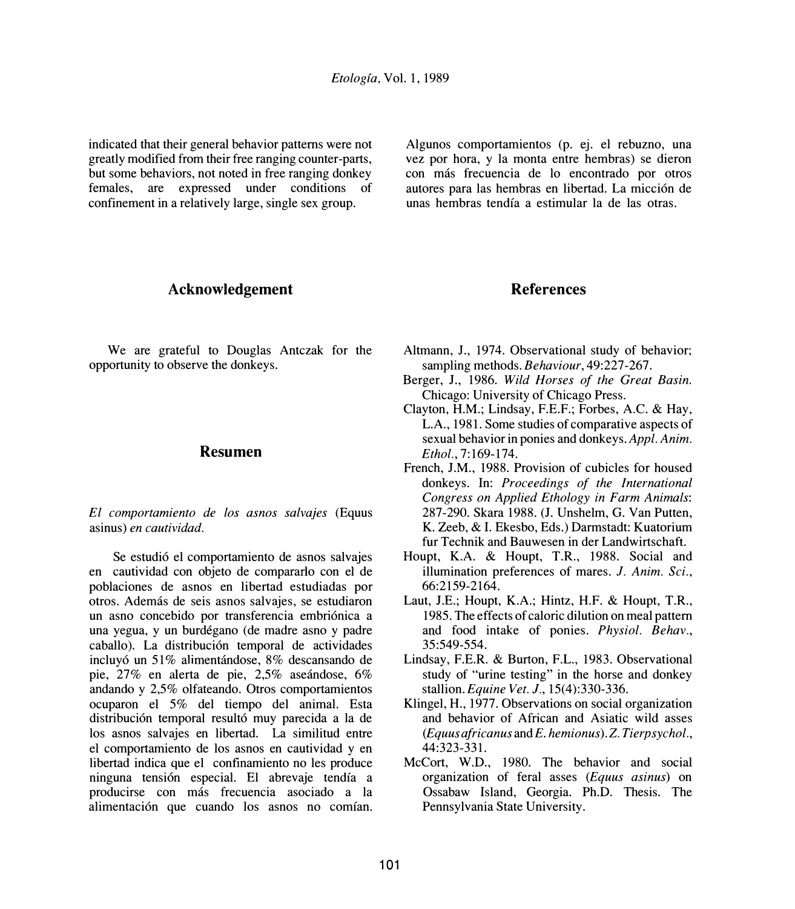indicated that their general behavior patterns were not greatly modified from their free ranging counter-parts, but some behaviors, not noted in free ranging donkey females, are expressed under conditions of confinement in a relatively large, single sex group.

Algunos comportamientos (p. ej. el rebuzno, una vez por hora, y la monta entre hembras) se dieron con más frecuencia de lo encontrado por otros autores para las hembras en libertad. La micción de unas hembras tendfa a estimular la de las otras.

### **Acknowledgement**

We are grateful to Douglas Antczak for the opportunity to observe the donkeys.

#### **Resumen**

#### *El comportamiento de los asnos salvajes* (Equus asinus) *en cautividad.*

Se estudió el comportamiento de asnos salvajes en cautividad con objeto de compararlo con el de poblaciones de asnos en libertad estudiadas por otros. Ademas de seis asnos salvajes, se estudiaron un asno concebido por transferencia embri6nica a una yegua, y un burdegano (de madre asno y padre caballo). La distribución temporal de actividades incluyó un 51% alimentándose, 8% descansando de pie, 27% en alerta de pie, 2,5% aseandose, 6% andando y 2,5% olfateando. Otros comportamientos ocuparon el 5% del tiempo del animal. Esta distribución temporal resultó muy parecida a la de los asnos salvajes en libertad. La similitud entre el comportamiento de los asnos en cautividad y en libertad indica que el confinamiento no les produce ninguna tension especial. El abrevaje tendfa a producirse con más frecuencia asociado a la alimentaci6n que cuando los asnos no comfan.

Altmann, J., 1974. Observational study of behavior; sampling methods. *Behaviour,* 49:227-267.

**References** 

- Berger, J., 1986. *Wild Horses of the Great Basin.*  Chicago: University of Chicago Press.
- Clayton, H.M.; Lindsay, F.E.F.; Forbes, A.C. & Hay, L.A., 1981. Some studies of comparative aspects of sexual behavior in ponies and donkeys. *Appl. Anim. Ethol.,* 7:169-174.
- French, J.M., 1988. Provision of cubicles for housed donkeys. In: *Proceedings of the International Congress on Applied Ethology in Farm Animals:*  287-290. Skara 1988. (J. Unshelm, G. Van Putten, K. Zeeb, & I. Ekesbo, Eds.) Darmstadt: Kuatorium fur Technik and Bauwesen in der Landwirtschaft.
- Houpt, K.A. & Houpt, T.R., 1988. Social and illumination preferences of mares. J. *Anim. Sci.,*  66:2159-2164.
- Laut, J.E.; Houpt, K.A.; Hintz, H.F. & Houpt, T.R., 1985. The effects of caloric dilution on meal pattern and food intake of ponies. *Physiol. Behav.,*  35:549-554.
- Lindsay, F.E.R. & Burton, F.L., 1983. Observational study of "urine testing" in the horse and donkey stallion. *Equine Vet. J.,* 15(4):330-336.
- Klingel, H., 1977. Observations on social organization and behavior of African and Asiatic wild asses *(Equus africanus* and *E. hemionus).* Z. *Tierpsychol.,*  44:323-331.
- McCort, W.D., 1980. The behavior and social organization of feral asses *(Equus asinus)* on Ossabaw Island, Georgia. Ph.D. Thesis. The Pennsylvania State University.